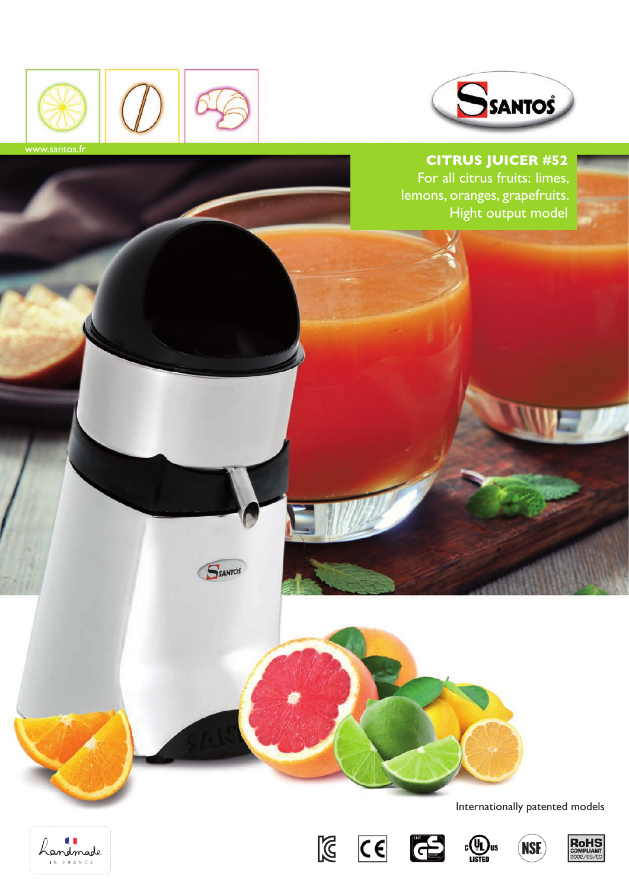

**SSANTOS** 



# **Citrus Juicer #52**

For all citrus fruits: limes, lemons, oranges, grapefruits. Hight output model



Internationally patented models

**NSE** 







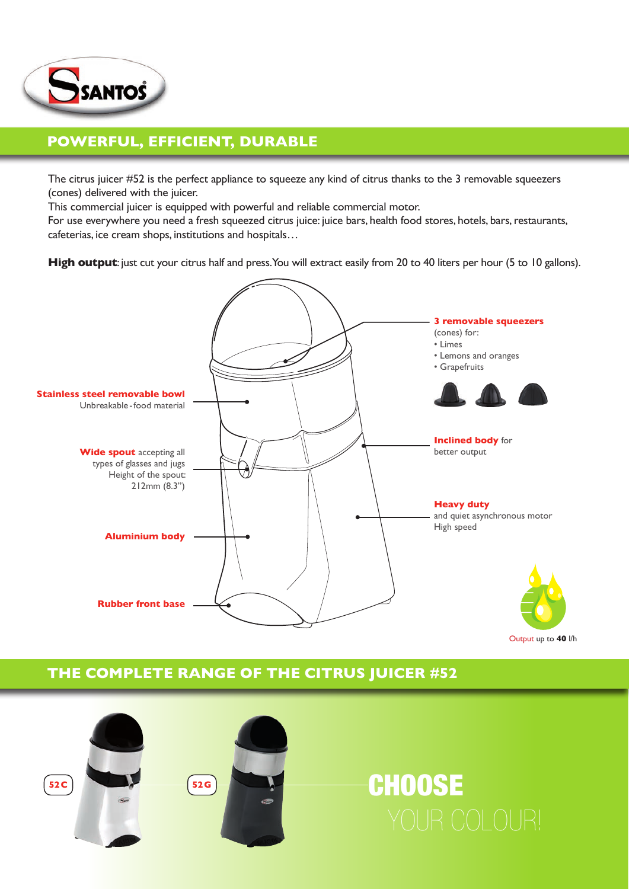

## **powerful, efficient, durable**

The citrus juicer #52 is the perfect appliance to squeeze any kind of citrus thanks to the 3 removable squeezers (cones) delivered with the juicer.

This commercial juicer is equipped with powerful and reliable commercial motor.

For use everywhere you need a fresh squeezed citrus juice: juice bars, health food stores, hotels, bars, restaurants, cafeterias, ice cream shops, institutions and hospitals…

**High output**: just cut your citrus half and press. You will extract easily from 20 to 40 liters per hour (5 to 10 gallons).



Output up to **40** l/h

## **THE COMPLETE RANGE OF THE CITRUS JUICER #52**



# **CHOOSE**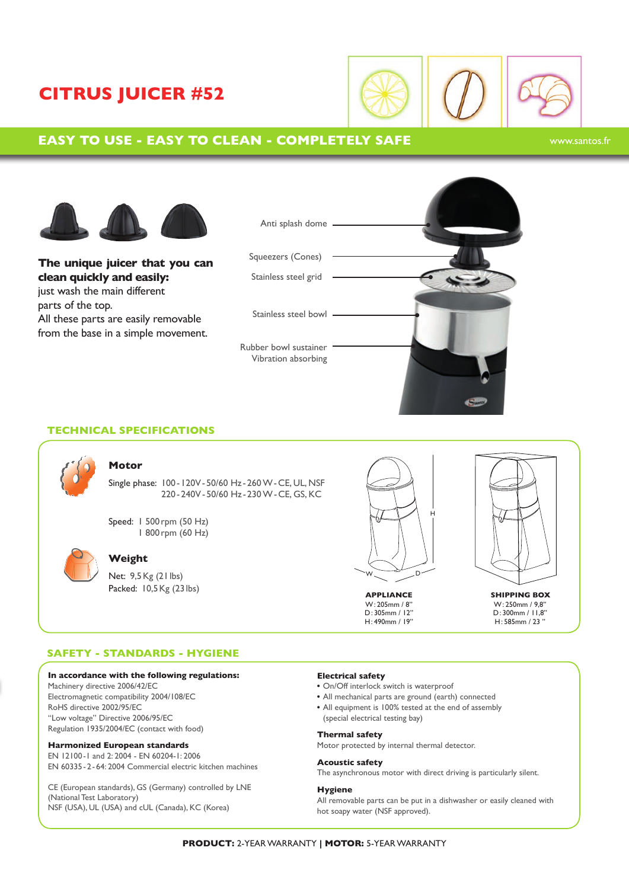# **citrus juicer #52**



### **Easy to use - Easy to clean - Completely safe**

#### www.santos.fr



**The unique juicer that you can clean quickly and easily:** just wash the main different parts of the top. All these parts are easily removable from the base in a simple movement.



#### **Technical specifications**



#### **Motor**

Single phase: 100 -120V-50/60 Hz -260 W-CE, UL, NSF 220-240V-50/60 Hz - 230 W-CE, GS, KC

Speed: 1 500rpm (50 Hz) 1 800rpm (60 Hz)



#### **Weight**

Net: 9,5Kg (21lbs) Packed: 10,5Kg (23 lbs)



W: 205mm / 8'' D: 305mm / 12'' H: 490mm / 19''

**APPLIANCE SHIPPING BOX** W: 250mm / 9,8'' D: 300mm / 11,8'' H: 585mm / 23 ''

#### **Safety - Standards - Hygiene**

#### **In accordance with the following regulations:**

Machinery directive 2006/42/EC Electromagnetic compatibility 2004/108/EC RoHS directive 2002/95/EC ''Low voltage'' Directive 2006/95/EC Regulation 1935/2004/EC (contact with food)

#### **Harmonized European standards**

EN 12100-1 and 2: 2004 - EN 60204-1: 2006 EN 60335-2-64: 2004 Commercial electric kitchen machines

CE (European standards), GS (Germany) controlled by LNE (National Test Laboratory) NSF (USA), UL (USA) and cUL (Canada), KC (Korea)

#### **Electrical safety**

- On/Off interlock switch is waterproof
- All mechanical parts are ground (earth) connected
- All equipment is 100% tested at the end of assembly (special electrical testing bay)

#### **Thermal safety**

Motor protected by internal thermal detector.

#### **Acoustic safety**

The asynchronous motor with direct driving is particularly silent.

#### **Hygiene**

All removable parts can be put in a dishwasher or easily cleaned with hot soapy water (NSF approved).